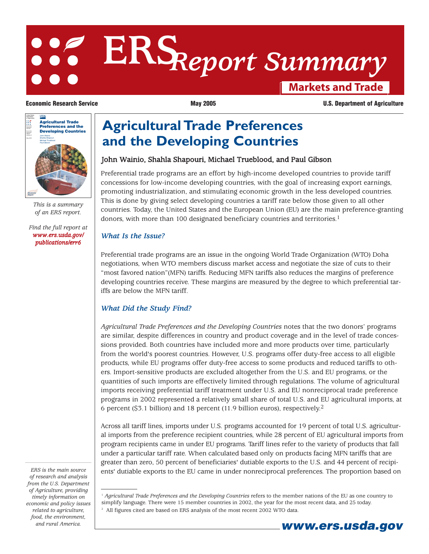# **Markets and Trade ERS***Report Summary*



*This is a summary of an ERS report.*

*[Find the full report at](/publications/err6) www.ers.usda.gov/ publications/err6*

#### **Economic Research Service May 2005** May 2005 **U.S. Department of Agriculture**

## **Agricultural Trade Preferences and the Developing Countries**

### John Wainio, Shahla Shapouri, Michael Trueblood, and Paul Gibson

Preferential trade programs are an effort by high-income developed countries to provide tariff concessions for low-income developing countries, with the goal of increasing export earnings, promoting industrialization, and stimulating economic growth in the less developed countries. This is done by giving select developing countries a tariff rate below those given to all other countries. Today, the United States and the European Union (EU) are the main preference-granting donors, with more than 100 designated beneficiary countries and territories.<sup>1</sup>

#### *What Is the Issue?*

Preferential trade programs are an issue in the ongoing World Trade Organization (WTO) Doha negotiations, when WTO members discuss market access and negotiate the size of cuts to their "most favored nation"(MFN) tariffs. Reducing MFN tariffs also reduces the margins of preference developing countries receive. These margins are measured by the degree to which preferential tariffs are below the MFN tariff.

### *What Did the Study Find?*

*Agricultural Trade Preferences and the Developing Countries* notes that the two donors' programs are similar, despite differences in country and product coverage and in the level of trade concessions provided. Both countries have included more and more products over time, particularly from the world's poorest countries. However, U.S. programs offer duty-free access to all eligible products, while EU programs offer duty-free access to some products and reduced tariffs to others. Import-sensitive products are excluded altogether from the U.S. and EU programs, or the quantities of such imports are effectively limited through regulations. The volume of agricultural imports receiving preferential tariff treatment under U.S. and EU nonreciprocal trade preference programs in 2002 represented a relatively small share of total U.S. and EU agricultural imports, at 6 percent (\$3.1 billion) and 18 percent (11.9 billion euros), respectively.2

Across all tariff lines, imports under U.S. programs accounted for 19 percent of total U.S. agricultural imports from the preference recipient countries, while 28 percent of EU agricultural imports from program recipients came in under EU programs. Tariff lines refer to the variety of products that fall under a particular tariff rate. When calculated based only on products facing MFN tariffs that are greater than zero, 50 percent of beneficiaries' dutiable exports to the U.S. and 44 percent of recipients' dutiable exports to the EU came in under nonreciprocal preferences. The proportion based on

*ERS is the main source of research and analysis from the U.S. Department of Agriculture, providing timely information on economic and policy issues related to agriculture, food, the environment,*

<sup>1</sup> *Agricultural Trade Preferences and the Developing Countries* refers to the member nations of the EU as one country to simplify language. There were 15 member countries in 2002, the year for the most recent data, and 25 today. <sup>2</sup> All figures cited are based on ERS analysis of the most recent 2002 WTO data.